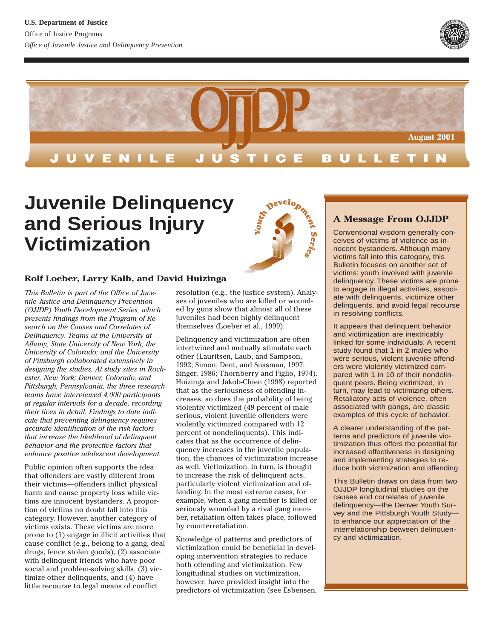



# **Juvenile Delinquency and Serious Injury Victimization**

#### **Rolf Loeber, Larry Kalb, and David Huizinga**

*This Bulletin is part of the Office of Juvenile Justice and Delinquency Prevention (OJJDP) Youth Development Series, which presents findings from the Program of Research on the Causes and Correlates of Delinquency. Teams at the University at Albany, State University of New York; the University of Colorado; and the University of Pittsburgh collaborated extensively in designing the studies. At study sites in Rochester, New York; Denver, Colorado; and Pittsburgh, Pennsylvania, the three research teams have interviewed 4,000 participants at regular intervals for a decade, recording their lives in detail. Findings to date indicate that preventing delinquency requires accurate identification of the risk factors that increase the likelihood of delinquent behavior and the protective factors that enhance positive adolescent development.*

Public opinion often supports the idea that offenders are vastly different from their victims—offenders inflict physical harm and cause property loss while victims are innocent bystanders. A proportion of victims no doubt fall into this category. However, another category of victims exists. These victims are more prone to (1) engage in illicit activities that cause conflict (e.g., belong to a gang, deal drugs, fence stolen goods), (2) associate with delinquent friends who have poor social and problem-solving skills, (3) victimize other delinquents, and (4) have little recourse to legal means of conflict

resolution (e.g., the justice system). Analyses of juveniles who are killed or wounded by guns show that almost all of these juveniles had been highly delinquent themselves (Loeber et al., 1999).

Delinquency and victimization are often intertwined and mutually stimulate each other (Lauritsen, Laub, and Sampson, 1992; Simon, Dent, and Sussman, 1997; Singer, 1986; Thornberry and Figlio, 1974). Huizinga and Jakob-Chien (1998) reported that as the seriousness of offending increases, so does the probability of being violently victimized (49 percent of male serious, violent juvenile offenders were violently victimized compared with 12 percent of nondelinquents). This indicates that as the occurrence of delinquency increases in the juvenile population, the chances of victimization increase as well. Victimization, in turn, is thought to increase the risk of delinquent acts, particularly violent victimization and offending. In the most extreme cases, for example, when a gang member is killed or seriously wounded by a rival gang member, retaliation often takes place, followed by counterretaliation.

Knowledge of patterns and predictors of victimization could be beneficial in developing intervention strategies to reduce both offending and victimization. Few longitudinal studies on victimization, however, have provided insight into the predictors of victimization (see Esbensen,



## **A Message From OJJDP**

Conventional wisdom generally conceives of victims of violence as innocent bystanders. Although many victims fall into this category, this Bulletin focuses on another set of victims: youth involved with juvenile delinquency. These victims are prone to engage in illegal activities, associate with delinquents, victimize other delinquents, and avoid legal recourse in resolving conflicts.

It appears that delinquent behavior and victimization are inextricably linked for some individuals. A recent study found that 1 in 2 males who were serious, violent juvenile offenders were violently victimized compared with 1 in 10 of their nondelinquent peers. Being victimized, in turn, may lead to victimizing others. Retaliatory acts of violence, often associated with gangs, are classic examples of this cycle of behavior.

A clearer understanding of the patterns and predictors of juvenile victimization thus offers the potential for increased effectiveness in designing and implementing strategies to reduce both victimization and offending.

This Bulletin draws on data from two OJJDP longitudinal studies on the causes and correlates of juvenile delinquency—the Denver Youth Survey and the Pittsburgh Youth Study to enhance our appreciation of the interrelationship between delinquency and victimization.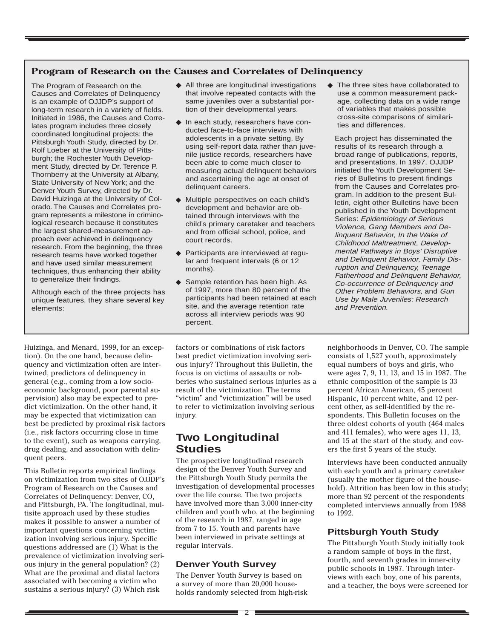#### **Program of Research on the Causes and Correlates of Delinquency**

The Program of Research on the Causes and Correlates of Delinquency is an example of OJJDP's support of long-term research in a variety of fields. Initiated in 1986, the Causes and Correlates program includes three closely coordinated longitudinal projects: the Pittsburgh Youth Study, directed by Dr. Rolf Loeber at the University of Pittsburgh; the Rochester Youth Development Study, directed by Dr. Terence P. Thornberry at the University at Albany, State University of New York; and the Denver Youth Survey, directed by Dr. David Huizinga at the University of Colorado. The Causes and Correlates program represents a milestone in criminological research because it constitutes the largest shared-measurement approach ever achieved in delinquency research. From the beginning, the three research teams have worked together and have used similar measurement techniques, thus enhancing their ability to generalize their findings.

Although each of the three projects has unique features, they share several key elements:

- ◆ All three are longitudinal investigations that involve repeated contacts with the same juveniles over a substantial portion of their developmental years.
- ◆ In each study, researchers have conducted face-to-face interviews with adolescents in a private setting. By using self-report data rather than juvenile justice records, researchers have been able to come much closer to measuring actual delinquent behaviors and ascertaining the age at onset of delinquent careers.
- ◆ Multiple perspectives on each child's development and behavior are obtained through interviews with the child's primary caretaker and teachers and from official school, police, and court records.
- ◆ Participants are interviewed at regular and frequent intervals (6 or 12 months).
- ◆ Sample retention has been high. As of 1997, more than 80 percent of the participants had been retained at each site, and the average retention rate across all interview periods was 90 percent.

◆ The three sites have collaborated to use a common measurement package, collecting data on a wide range of variables that makes possible cross-site comparisons of similarities and differences.

Each project has disseminated the results of its research through a broad range of publications, reports, and presentations. In 1997, OJJDP initiated the Youth Development Series of Bulletins to present findings from the Causes and Correlates program. In addition to the present Bulletin, eight other Bulletins have been published in the Youth Development Series: Epidemiology of Serious Violence, Gang Members and Delinquent Behavior, In the Wake of Childhood Maltreatment, Developmental Pathways in Boys' Disruptive and Delinquent Behavior, Family Disruption and Delinquency, Teenage Fatherhood and Delinquent Behavior, Co-occurrence of Delinquency and Other Problem Behaviors, and Gun Use by Male Juveniles: Research and Prevention.

Huizinga, and Menard, 1999, for an exception). On the one hand, because delinquency and victimization often are intertwined, predictors of delinquency in general (e.g., coming from a low socioeconomic background, poor parental supervision) also may be expected to predict victimization. On the other hand, it may be expected that victimization can best be predicted by proximal risk factors (i.e., risk factors occurring close in time to the event), such as weapons carrying, drug dealing, and association with delinquent peers.

This Bulletin reports empirical findings on victimization from two sites of OJJDP's Program of Research on the Causes and Correlates of Delinquency: Denver, CO, and Pittsburgh, PA. The longitudinal, multisite approach used by these studies makes it possible to answer a number of important questions concerning victimization involving serious injury. Specific questions addressed are (1) What is the prevalence of victimization involving serious injury in the general population? (2) What are the proximal and distal factors associated with becoming a victim who sustains a serious injury? (3) Which risk

factors or combinations of risk factors best predict victimization involving serious injury? Throughout this Bulletin, the focus is on victims of assaults or robberies who sustained serious injuries as a result of the victimization. The terms "victim" and "victimization" will be used to refer to victimization involving serious injury.

# **Two Longitudinal Studies**

The prospective longitudinal research design of the Denver Youth Survey and the Pittsburgh Youth Study permits the investigation of developmental processes over the life course. The two projects have involved more than 3,000 inner-city children and youth who, at the beginning of the research in 1987, ranged in age from 7 to 15. Youth and parents have been interviewed in private settings at regular intervals.

#### **Denver Youth Survey**

The Denver Youth Survey is based on a survey of more than 20,000 households randomly selected from high-risk neighborhoods in Denver, CO. The sample consists of 1,527 youth, approximately equal numbers of boys and girls, who were ages 7, 9, 11, 13, and 15 in 1987. The ethnic composition of the sample is 33 percent African American, 45 percent Hispanic, 10 percent white, and 12 percent other, as self-identified by the respondents. This Bulletin focuses on the three oldest cohorts of youth (464 males and 411 females), who were ages 11, 13, and 15 at the start of the study, and covers the first 5 years of the study.

Interviews have been conducted annually with each youth and a primary caretaker (usually the mother figure of the household). Attrition has been low in this study; more than 92 percent of the respondents completed interviews annually from 1988 to 1992.

#### **Pittsburgh Youth Study**

The Pittsburgh Youth Study initially took a random sample of boys in the first, fourth, and seventh grades in inner-city public schools in 1987. Through interviews with each boy, one of his parents, and a teacher, the boys were screened for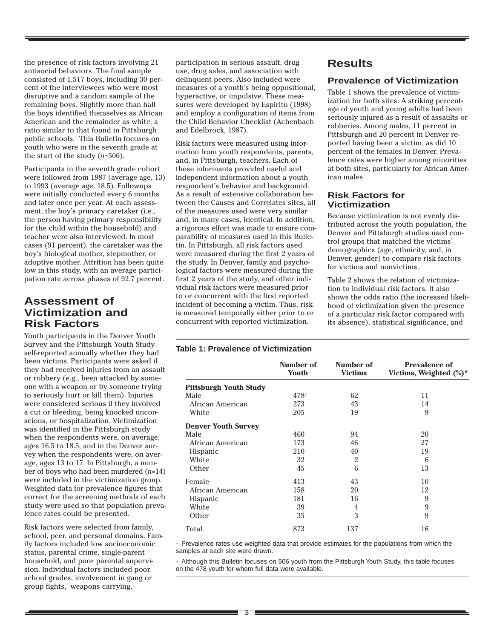the presence of risk factors involving 21 antisocial behaviors. The final sample consisted of 1,517 boys, including 30 percent of the interviewees who were most disruptive and a random sample of the remaining boys. Slightly more than half the boys identified themselves as African American and the remainder as white, a ratio similar to that found in Pittsburgh public schools.1 This Bulletin focuses on youth who were in the seventh grade at the start of the study (*n*=506).

Participants in the seventh grade cohort were followed from 1987 (average age, 13) to 1993 (average age, 18.5). Followups were initially conducted every 6 months and later once per year. At each assessment, the boy's primary caretaker (i.e., the person having primary responsibility for the child within the household) and teacher were also interviewed. In most cases (91 percent), the caretaker was the boy's biological mother, stepmother, or adoptive mother. Attrition has been quite low in this study, with an average participation rate across phases of 92.7 percent.

# **Assessment of Victimization and Risk Factors**

Youth participants in the Denver Youth Survey and the Pittsburgh Youth Study self-reported annually whether they had been victims. Participants were asked if they had received injuries from an assault or robbery (e.g., been attacked by someone with a weapon or by someone trying to seriously hurt or kill them). Injuries were considered serious if they involved a cut or bleeding, being knocked unconscious, or hospitalization. Victimization was identified in the Pittsburgh study when the respondents were, on average, ages 16.5 to 18.5, and in the Denver survey when the respondents were, on average, ages 13 to 17. In Pittsburgh, a number of boys who had been murdered (*n*=14) were included in the victimization group. Weighted data for prevalence figures that correct for the screening methods of each study were used so that population prevalence rates could be presented.

Risk factors were selected from family, school, peer, and personal domains. Family factors included low socioeconomic status, parental crime, single-parent household, and poor parental supervision. Individual factors included poor school grades, involvement in gang or group fights,<sup>2</sup> weapons carrying,

participation in serious assault, drug use, drug sales, and association with delinquent peers. Also included were measures of a youth's being oppositional, hyperactive, or impulsive. These measures were developed by Espiritu (1998) and employ a configuration of items from the Child Behavior Checklist (Achenbach and Edelbrock, 1987).

Risk factors were measured using information from youth respondents, parents, and, in Pittsburgh, teachers. Each of these informants provided useful and independent information about a youth respondent's behavior and background. As a result of extensive collaboration between the Causes and Correlates sites, all of the measures used were very similar and, in many cases, identical. In addition, a rigorous effort was made to ensure comparability of measures used in this Bulletin. In Pittsburgh, all risk factors used were measured during the first 2 years of the study. In Denver, family and psychological factors were measured during the first 2 years of the study, and other individual risk factors were measured prior to or concurrent with the first reported incident of becoming a victim. Thus, risk is measured temporally either prior to or concurrent with reported victimization.

## **Table 1: Prevalence of Victimization**

|                               | Number of<br>Youth | Number of<br><b>Victims</b> | <b>Prevalence of</b><br>Victims, Weighted $(\%)^*$ |
|-------------------------------|--------------------|-----------------------------|----------------------------------------------------|
| <b>Pittsburgh Youth Study</b> |                    |                             |                                                    |
| Male                          | 478†               | 62                          | 11                                                 |
| African American              | 273                | 43                          | 14                                                 |
| White                         | 205                | 19                          | 9                                                  |
| <b>Denver Youth Survey</b>    |                    |                             |                                                    |
| Male                          | 460                | 94                          | 20                                                 |
| African American              | 173                | 46                          | 27                                                 |
| <b>Hispanic</b>               | 210                | 40                          | 19                                                 |
| White                         | 32                 | 2                           | 6                                                  |
| Other                         | 45                 | 6                           | 13                                                 |
| Female                        | 413                | 43                          | 10                                                 |
| African American              | 158                | 20                          | 12                                                 |
| Hispanic                      | 181                | 16                          | 9                                                  |
| White                         | 39                 | 4                           | 9                                                  |
| Other                         | 35                 | 3                           | 9                                                  |
| Total                         | 873                | 137                         | 16                                                 |

\* Prevalence rates use weighted data that provide estimates for the populations from which the samples at each site were drawn.

 $<sub>†</sub>$  Although this Bulletin focuses on 506 youth from the Pittsburgh Youth Study, this table focuses</sub> on the 478 youth for whom full data were available.

# **Results**

### **Prevalence of Victimization**

Table 1 shows the prevalence of victimization for both sites. A striking percentage of youth and young adults had been seriously injured as a result of assaults or robberies. Among males, 11 percent in Pittsburgh and 20 percent in Denver reported having been a victim, as did 10 percent of the females in Denver. Prevalence rates were higher among minorities at both sites, particularly for African American males.

#### **Risk Factors for Victimization**

Because victimization is not evenly distributed across the youth population, the Denver and Pittsburgh studies used control groups that matched the victims' demographics (age, ethnicity, and, in Denver, gender) to compare risk factors for victims and nonvictims.

Table 2 shows the relation of victimization to individual risk factors. It also shows the odds ratio (the increased likelihood of victimization given the presence of a particular risk factor compared with its absence), statistical significance, and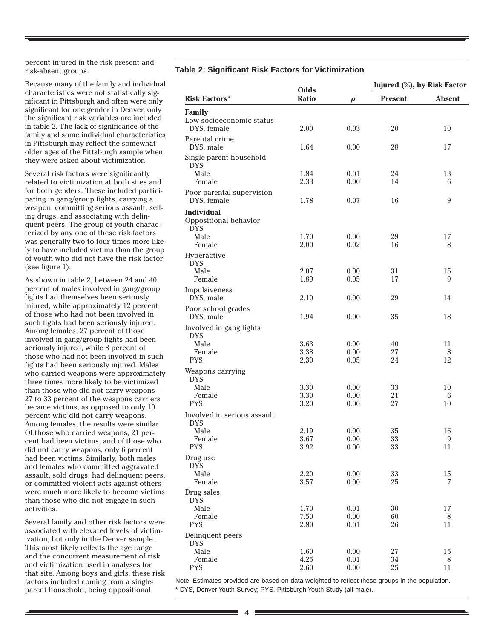percent injured in the risk-present and risk-absent groups.

Because many of the family and individual characteristics were not statistically significant in Pittsburgh and often were only significant for one gender in Denver, only the significant risk variables are included in table 2. The lack of significance of the family and some individual characteristics in Pittsburgh may reflect the somewhat older ages of the Pittsburgh sample when they were asked about victimization.

Several risk factors were significantly related to victimization at both sites and for both genders. These included participating in gang/group fights, carrying a weapon, committing serious assault, selling drugs, and associating with delinquent peers. The group of youth characterized by any one of these risk factors was generally two to four times more likely to have included victims than the group of youth who did not have the risk factor (see figure 1).

As shown in table 2, between 24 and 40 percent of males involved in gang/group fights had themselves been seriously injured, while approximately 12 percent of those who had not been involved in such fights had been seriously injured. Among females, 27 percent of those involved in gang/group fights had been seriously injured, while 8 percent of those who had not been involved in such fights had been seriously injured. Males who carried weapons were approximately three times more likely to be victimized than those who did not carry weapons— 27 to 33 percent of the weapons carriers became victims, as opposed to only 10 percent who did not carry weapons. Among females, the results were similar. Of those who carried weapons, 21 percent had been victims, and of those who did not carry weapons, only 6 percent had been victims. Similarly, both males and females who committed aggravated assault, sold drugs, had delinquent peers, or committed violent acts against others were much more likely to become victims than those who did not engage in such activities.

Several family and other risk factors were associated with elevated levels of victimization, but only in the Denver sample. This most likely reflects the age range and the concurrent measurement of risk and victimization used in analyses for that site. Among boys and girls, these risk factors included coming from a singleparent household, being oppositional

#### **Table 2: Significant Risk Factors for Victimization**

|                                                          | Odds<br><b>Ratio</b> | $\boldsymbol{p}$ | Injured (%), by Risk Factor |               |
|----------------------------------------------------------|----------------------|------------------|-----------------------------|---------------|
| <b>Risk Factors*</b>                                     |                      |                  | <b>Present</b>              | <b>Absent</b> |
| <b>Family</b>                                            |                      |                  |                             |               |
| Low socioeconomic status                                 |                      |                  |                             |               |
| DYS, female                                              | 2.00                 | 0.03             | 20                          | 10            |
| Parental crime                                           |                      |                  |                             |               |
| DYS, male                                                | 1.64                 | 0.00             | 28                          | 17            |
| Single-parent household<br><b>DYS</b>                    |                      |                  |                             |               |
| Male                                                     | 1.84                 | 0.01             | 24                          | 13            |
| Female                                                   | 2.33                 | 0.00             | 14                          | 6             |
| Poor parental supervision                                |                      |                  |                             |               |
| DYS, female                                              | 1.78                 | 0.07             | 16                          | 9             |
| <b>Individual</b><br>Oppositional behavior<br><b>DYS</b> |                      |                  |                             |               |
| Male                                                     | 1.70                 | 0.00             | 29                          | 17            |
| Female                                                   | 2.00                 | 0.02             | 16                          | 8             |
| Hyperactive<br><b>DYS</b>                                |                      |                  |                             |               |
| Male                                                     | 2.07                 | 0.00             | 31                          | 15            |
| Female                                                   | 1.89                 | 0.05             | 17                          | 9             |
| Impulsiveness<br>DYS, male                               | 2.10                 | 0.00             | 29                          | 14            |
| Poor school grades                                       |                      |                  |                             |               |
| DYS, male                                                | 1.94                 | 0.00             | 35                          | 18            |
| Involved in gang fights<br><b>DYS</b>                    |                      |                  |                             |               |
| Male                                                     | 3.63                 | 0.00             | 40                          | 11            |
| Female                                                   | 3.38                 | 0.00             | 27                          | 8             |
| <b>PYS</b>                                               | 2.30                 | 0.05             | 24                          | 12            |
| Weapons carrying<br><b>DYS</b>                           |                      |                  |                             |               |
| Male                                                     | 3.30                 | 0.00             | 33                          | 10            |
| Female                                                   | 3.30                 | 0.00             | 21                          | 6             |
| <b>PYS</b>                                               | 3.20                 | 0.00             | 27                          | 10            |
| Involved in serious assault<br><b>DYS</b>                |                      |                  |                             |               |
| Male                                                     | 2.19                 | 0.00             | 35                          | 16            |
| Female                                                   | 3.67                 | 0.00             | 33                          | 9             |
| <b>PYS</b>                                               | 3.92                 | 0.00             | 33                          | 11            |
| Drug use<br><b>DYS</b>                                   |                      |                  |                             |               |
| Male                                                     | 2.20                 | 0.00             | 33                          | 15            |
| Female                                                   | 3.57                 | 0.00             | 25                          | 7             |
| Drug sales<br><b>DYS</b>                                 |                      |                  |                             |               |
| Male                                                     | 1.70                 | 0.01             | 30                          | 17            |
| Female                                                   | 7.50                 | 0.00             | 60                          | 8             |
| <b>PYS</b>                                               | 2.80                 | 0.01             | 26                          | 11            |
| Delinquent peers                                         |                      |                  |                             |               |
| <b>DYS</b>                                               |                      |                  |                             |               |
| Male                                                     | 1.60                 | 0.00             | 27                          | 15            |
|                                                          |                      |                  |                             |               |
| Female<br><b>PYS</b>                                     | 4.25<br>2.60         | 0.01<br>$0.00\,$ | 34<br>$25\,$                | 8<br>11       |

Note: Estimates provided are based on data weighted to reflect these groups in the population. \* DYS, Denver Youth Survey; PYS, Pittsburgh Youth Study (all male).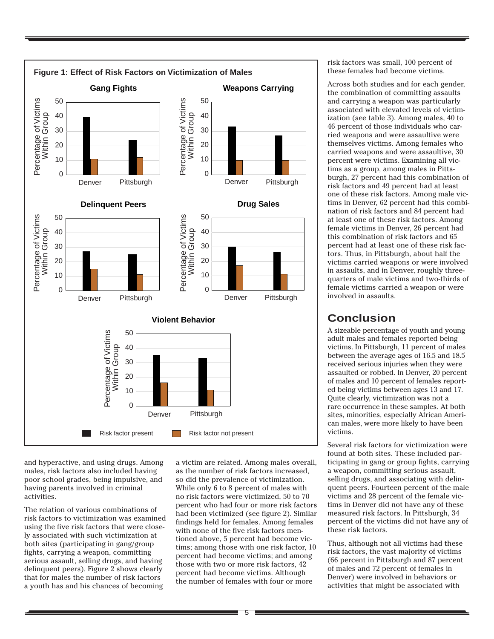

and hyperactive, and using drugs. Among males, risk factors also included having poor school grades, being impulsive, and having parents involved in criminal activities.

The relation of various combinations of risk factors to victimization was examined using the five risk factors that were closely associated with such victimization at both sites (participating in gang/group fights, carrying a weapon, committing serious assault, selling drugs, and having delinquent peers). Figure 2 shows clearly that for males the number of risk factors a youth has and his chances of becoming

a victim are related. Among males overall, as the number of risk factors increased, so did the prevalence of victimization. While only 6 to 8 percent of males with no risk factors were victimized, 50 to 70 percent who had four or more risk factors had been victimized (see figure 2). Similar findings held for females. Among females with none of the five risk factors mentioned above, 5 percent had become victims; among those with one risk factor, 10 percent had become victims; and among those with two or more risk factors, 42 percent had become victims. Although the number of females with four or more

risk factors was small, 100 percent of these females had become victims.

Across both studies and for each gender, the combination of committing assaults and carrying a weapon was particularly associated with elevated levels of victimization (see table 3). Among males, 40 to 46 percent of those individuals who carried weapons and were assaultive were themselves victims. Among females who carried weapons and were assaultive, 30 percent were victims. Examining all victims as a group, among males in Pittsburgh, 27 percent had this combination of risk factors and 49 percent had at least one of these risk factors. Among male victims in Denver, 62 percent had this combination of risk factors and 84 percent had at least one of these risk factors. Among female victims in Denver, 26 percent had this combination of risk factors and 65 percent had at least one of these risk factors. Thus, in Pittsburgh, about half the victims carried weapons or were involved in assaults, and in Denver, roughly threequarters of male victims and two-thirds of female victims carried a weapon or were involved in assaults.

# **Conclusion**

A sizeable percentage of youth and young adult males and females reported being victims. In Pittsburgh, 11 percent of males between the average ages of 16.5 and 18.5 received serious injuries when they were assaulted or robbed. In Denver, 20 percent of males and 10 percent of females reported being victims between ages 13 and 17. Quite clearly, victimization was not a rare occurrence in these samples. At both sites, minorities, especially African American males, were more likely to have been victims.

Several risk factors for victimization were found at both sites. These included participating in gang or group fights, carrying a weapon, committing serious assault, selling drugs, and associating with delinquent peers. Fourteen percent of the male victims and 28 percent of the female victims in Denver did not have any of these measured risk factors. In Pittsburgh, 34 percent of the victims did not have any of these risk factors.

Thus, although not all victims had these risk factors, the vast majority of victims (66 percent in Pittsburgh and 87 percent of males and 72 percent of females in Denver) were involved in behaviors or activities that might be associated with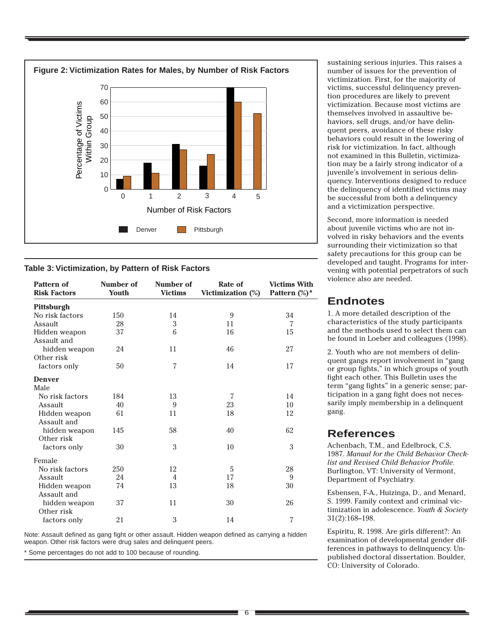

#### **Table 3: Victimization, by Pattern of Risk Factors**

| <b>Pattern of</b><br><b>Risk Factors</b> | Number of<br><b>Youth</b> | Number of<br><b>Victims</b> | Rate of<br>Victimization (%) | <b>Victims With</b><br>Pattern (%)* |
|------------------------------------------|---------------------------|-----------------------------|------------------------------|-------------------------------------|
| Pittsburgh                               |                           |                             |                              |                                     |
| No risk factors                          | 150                       | 14                          | 9                            | 34                                  |
| Assault                                  | 28                        | 3                           | 11                           | 7                                   |
| Hidden weapon<br>Assault and             | 37                        | 6                           | 16                           | 15                                  |
| hidden weapon<br>Other risk              | 24                        | 11                          | 46                           | 27                                  |
| factors only                             | 50                        | 7                           | 14                           | 17                                  |
| <b>Denver</b><br>Male                    |                           |                             |                              |                                     |
| No risk factors                          | 184                       | 13                          | 7                            | 14                                  |
| Assault                                  | 40                        | 9                           | 23                           | 10                                  |
| Hidden weapon<br>Assault and             | 61                        | 11                          | 18                           | 12                                  |
| hidden weapon<br>Other risk              | 145                       | 58                          | 40                           | 62                                  |
| factors only                             | 30                        | 3                           | 10                           | 3                                   |
| Female                                   |                           |                             |                              |                                     |
| No risk factors                          | 250                       | 12                          | 5                            | 28                                  |
| Assault                                  | 24                        | 4                           | 17                           | 9                                   |
| Hidden weapon<br>Assault and             | 74                        | 13                          | 18                           | 30                                  |
| hidden weapon<br>Other risk              | 37                        | 11                          | 30                           | 26                                  |
| factors only                             | 21                        | 3                           | 14                           | $\overline{7}$                      |

Note: Assault defined as gang fight or other assault. Hidden weapon defined as carrying a hidden weapon. Other risk factors were drug sales and delinquent peers.

Some percentages do not add to 100 because of rounding.

sustaining serious injuries. This raises a number of issues for the prevention of victimization. First, for the majority of victims, successful delinquency prevention procedures are likely to prevent victimization. Because most victims are themselves involved in assaultive behaviors, sell drugs, and/or have delinquent peers, avoidance of these risky behaviors could result in the lowering of risk for victimization. In fact, although not examined in this Bulletin, victimization may be a fairly strong indicator of a juvenile's involvement in serious delinquency. Interventions designed to reduce the delinquency of identified victims may be successful from both a delinquency and a victimization perspective.

Second, more information is needed about juvenile victims who are not involved in risky behaviors and the events surrounding their victimization so that safety precautions for this group can be developed and taught. Programs for intervening with potential perpetrators of such violence also are needed.

# **Endnotes**

1. A more detailed description of the characteristics of the study participants and the methods used to select them can be found in Loeber and colleagues (1998).

2. Youth who are not members of delinquent gangs report involvement in "gang or group fights," in which groups of youth fight each other. This Bulletin uses the term "gang fights" in a generic sense; participation in a gang fight does not necessarily imply membership in a delinquent gang.

## **References**

Achenbach, T.M., and Edelbrock, C.S. 1987. *Manual for the Child Behavior Checklist and Revised Child Behavior Profile.* Burlington, VT: University of Vermont, Department of Psychiatry.

Esbensen, F-A., Huizinga, D., and Menard, S. 1999. Family context and criminal victimization in adolescence. *Youth & Society* 31(2):168–198.

Espiritu, R. 1998. Are girls different?: An examination of developmental gender differences in pathways to delinquency. Unpublished doctoral dissertation. Boulder, CO: University of Colorado.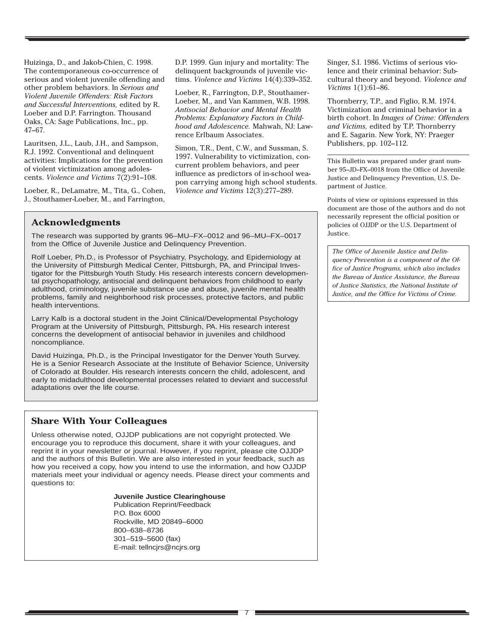Huizinga, D., and Jakob-Chien, C. 1998. The contemporaneous co-occurrence of serious and violent juvenile offending and other problem behaviors. In *Serious and Violent Juvenile Offenders: Risk Factors and Successful Interventions,* edited by R. Loeber and D.P. Farrington. Thousand Oaks, CA: Sage Publications, Inc., pp. 47–67.

Lauritsen, J.L., Laub, J.H., and Sampson, R.J. 1992. Conventional and delinquent activities: Implications for the prevention of violent victimization among adolescents. *Violence and Victims* 7(2):91–108.

Loeber, R., DeLamatre, M., Tita, G., Cohen, J., Stouthamer-Loeber, M., and Farrington,

D.P. 1999. Gun injury and mortality: The delinquent backgrounds of juvenile victims. *Violence and Victims* 14(4):339–352.

Loeber, R., Farrington, D.P., Stouthamer-Loeber, M., and Van Kammen, W.B. 1998. *Antisocial Behavior and Mental Health Problems: Explanatory Factors in Childhood and Adolescence.* Mahwah, NJ: Lawrence Erlbaum Associates.

Simon, T.R., Dent, C.W., and Sussman, S. 1997. Vulnerability to victimization, concurrent problem behaviors, and peer influence as predictors of in-school weapon carrying among high school students. *Violence and Victims* 12(3):277–289.

## **Acknowledgments**

The research was supported by grants 96–MU–FX–0012 and 96–MU–FX–0017 from the Office of Juvenile Justice and Delinquency Prevention.

Rolf Loeber, Ph.D., is Professor of Psychiatry, Psychology, and Epidemiology at the University of Pittsburgh Medical Center, Pittsburgh, PA, and Principal Investigator for the Pittsburgh Youth Study. His research interests concern developmental psychopathology, antisocial and delinquent behaviors from childhood to early adulthood, criminology, juvenile substance use and abuse, juvenile mental health problems, family and neighborhood risk processes, protective factors, and public health interventions.

Larry Kalb is a doctoral student in the Joint Clinical/Developmental Psychology Program at the University of Pittsburgh, Pittsburgh, PA. His research interest concerns the development of antisocial behavior in juveniles and childhood noncompliance.

David Huizinga, Ph.D., is the Principal Investigator for the Denver Youth Survey. He is a Senior Research Associate at the Institute of Behavior Science, University of Colorado at Boulder. His research interests concern the child, adolescent, and early to midadulthood developmental processes related to deviant and successful adaptations over the life course.

## **Share With Your Colleagues**

Unless otherwise noted, OJJDP publications are not copyright protected. We encourage you to reproduce this document, share it with your colleagues, and reprint it in your newsletter or journal. However, if you reprint, please cite OJJDP and the authors of this Bulletin. We are also interested in your feedback, such as how you received a copy, how you intend to use the information, and how OJJDP materials meet your individual or agency needs. Please direct your comments and questions to:

#### **Juvenile Justice Clearinghouse**

Publication Reprint/Feedback P.O. Box 6000 Rockville, MD 20849–6000 800–638–8736 301–519–5600 (fax) E-mail: tellncjrs@ncjrs.org

Singer, S.I. 1986. Victims of serious violence and their criminal behavior: Subcultural theory and beyond. *Violence and Victims* 1(1):61–86.

Thornberry, T.P., and Figlio, R.M. 1974. Victimization and criminal behavior in a birth cohort. In *Images of Crime: Offenders and Victims,* edited by T.P. Thornberry and E. Sagarin. New York, NY: Praeger Publishers, pp. 102–112.

This Bulletin was prepared under grant number 95–JD–FX–0018 from the Office of Juvenile Justice and Delinquency Prevention, U.S. Department of Justice.

Points of view or opinions expressed in this document are those of the authors and do not necessarily represent the official position or policies of OJJDP or the U.S. Department of Justice.

*The Office of Juvenile Justice and Delinquency Prevention is a component of the Office of Justice Programs, which also includes the Bureau of Justice Assistance, the Bureau of Justice Statistics, the National Institute of Justice, and the Office for Victims of Crime.*